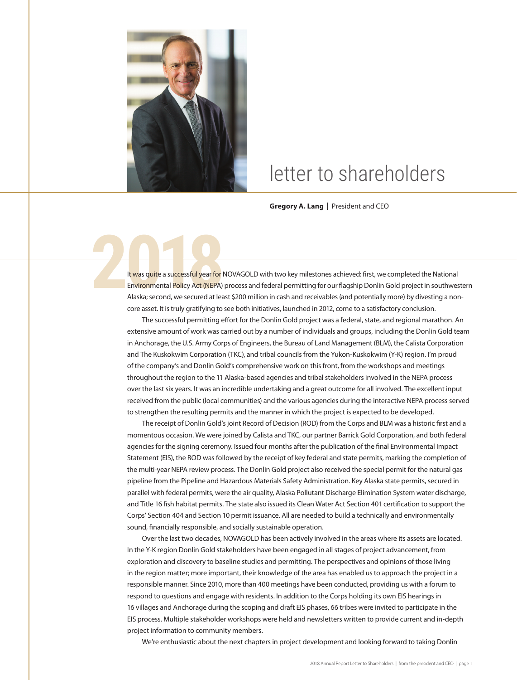

## letter to shareholders

**Gregory A. Lang |** President and CEO

**2018** It was quite a successful year for NOVAGOLD with two key milestones achieved: first, we completed the National<br>Environmental Policy Act (NEPA) process and federal permitting for our flagship Donlin Gold project in s Environmental Policy Act (NEPA) process and federal permitting for our flagship Donlin Gold project in southwestern Alaska; second, we secured at least \$200 million in cash and receivables (and potentially more) by divesting a noncore asset. It is truly gratifying to see both initiatives, launched in 2012, come to a satisfactory conclusion.

The successful permitting effort for the Donlin Gold project was a federal, state, and regional marathon. An extensive amount of work was carried out by a number of individuals and groups, including the Donlin Gold team in Anchorage, the U.S. Army Corps of Engineers, the Bureau of Land Management (BLM), the Calista Corporation and The Kuskokwim Corporation (TKC), and tribal councils from the Yukon-Kuskokwim (Y-K) region. I'm proud of the company's and Donlin Gold's comprehensive work on this front, from the workshops and meetings throughout the region to the 11 Alaska-based agencies and tribal stakeholders involved in the NEPA process over the last six years. It was an incredible undertaking and a great outcome for all involved. The excellent input received from the public (local communities) and the various agencies during the interactive NEPA process served to strengthen the resulting permits and the manner in which the project is expected to be developed.

The receipt of Donlin Gold's joint Record of Decision (ROD) from the Corps and BLM was a historic first and a momentous occasion. We were joined by Calista and TKC, our partner Barrick Gold Corporation, and both federal agencies for the signing ceremony. Issued four months after the publication of the final Environmental Impact Statement (EIS), the ROD was followed by the receipt of key federal and state permits, marking the completion of the multi-year NEPA review process. The Donlin Gold project also received the special permit for the natural gas pipeline from the Pipeline and Hazardous Materials Safety Administration. Key Alaska state permits, secured in parallel with federal permits, were the air quality, Alaska Pollutant Discharge Elimination System water discharge, and Title 16 fish habitat permits. The state also issued its Clean Water Act Section 401 certification to support the Corps' Section 404 and Section 10 permit issuance. All are needed to build a technically and environmentally sound, financially responsible, and socially sustainable operation.

Over the last two decades, NOVAGOLD has been actively involved in the areas where its assets are located. In the Y-K region Donlin Gold stakeholders have been engaged in all stages of project advancement, from exploration and discovery to baseline studies and permitting. The perspectives and opinions of those living in the region matter; more important, their knowledge of the area has enabled us to approach the project in a responsible manner. Since 2010, more than 400 meetings have been conducted, providing us with a forum to respond to questions and engage with residents. In addition to the Corps holding its own EIS hearings in 16 villages and Anchorage during the scoping and draft EIS phases, 66 tribes were invited to participate in the EIS process. Multiple stakeholder workshops were held and newsletters written to provide current and in-depth project information to community members.

We're enthusiastic about the next chapters in project development and looking forward to taking Donlin